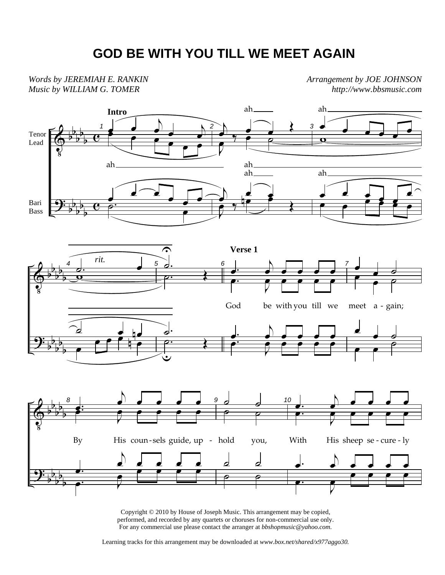## **GOD BE WITH YOU TILL WE MEET AGAIN**

*Words by JEREMIAH E. RANKIN Music by WILLIAM G. TOMER* 

*Arrangement by JOE JOHNSON http://www.bbsmusic.com*



Copyright © 2010 by House of Joseph Music. This arrangement may be copied, performed, and recorded by any quartets or choruses for non-commercial use only. For any commercial use please contact the arranger at *bbshopmusic@yahoo.com.*

Learning tracks for this arrangement may be downloaded at *www.box.net/shared/x977aggo30.*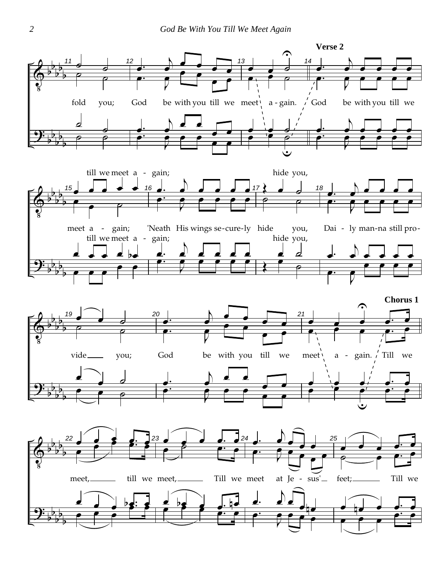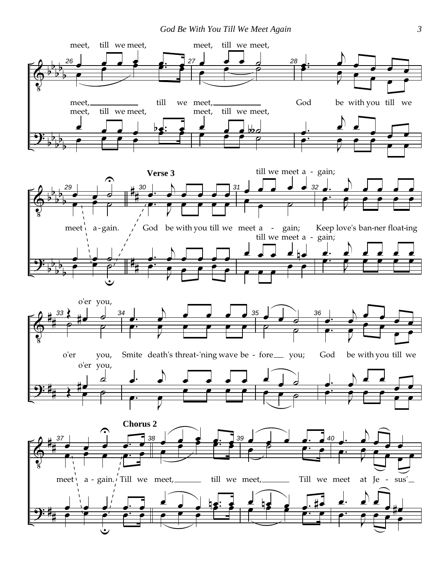